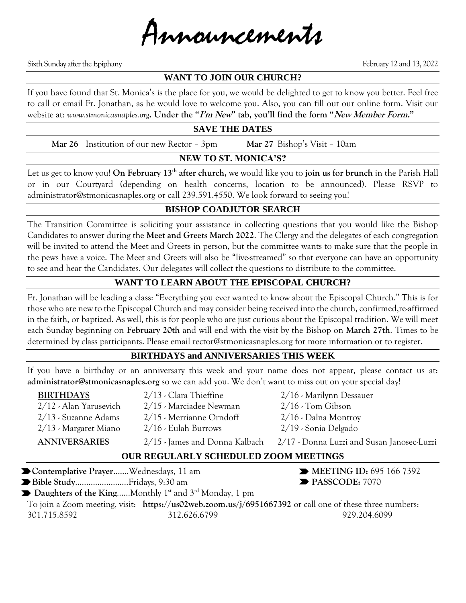

Sixth Sunday after the Epiphany February 12 and 13, 2022

## **WANT TO JOIN OUR CHURCH?**

If you have found that St. Monica's is the place for you, we would be delighted to get to know you better. Feel free to call or email Fr. Jonathan, as he would love to welcome you. Also, you can fill out our online form. Visit our website at: *www.stmonicasnaples.org***. Under the "I'm New" tab, you'll find the form "New Member Form."**

#### **SAVE THE DATES**

**Mar 26** Institution of our new Rector – 3pm **Mar 27** Bishop's Visit – 10am

## **NEW TO ST. MONICA'S?**

Let us get to know you! **On February 13th after church,** we would like you to **join us for brunch** in the Parish Hall or in our Courtyard (depending on health concerns, location to be announced). Please RSVP to administrator@stmonicasnaples.org or call 239.591.4550. We look forward to seeing you!

# **BISHOP COADJUTOR SEARCH**

The Transition Committee is soliciting your assistance in collecting questions that you would like the Bishop Candidates to answer during the **Meet and Greets March 2022**. The Clergy and the delegates of each congregation will be invited to attend the Meet and Greets in person, but the committee wants to make sure that the people in the pews have a voice. The Meet and Greets will also be "live-streamed" so that everyone can have an opportunity to see and hear the Candidates. Our delegates will collect the questions to distribute to the committee.

# **WANT TO LEARN ABOUT THE EPISCOPAL CHURCH?**

Fr. Jonathan will be leading a class: "Everything you ever wanted to know about the Episcopal Church." This is for those who are new to the Episcopal Church and may consider being received into the church, confirmed,re-affirmed in the faith, or baptized. As well, this is for people who are just curious about the Episcopal tradition. We will meet each Sunday beginning on **February 20th** and will end with the visit by the Bishop on **March 27th**. Times to be determined by class participants. Please email rector@stmonicasnaples.org for more information or to register.

#### **BIRTHDAYS and ANNIVERSARIES THIS WEEK**

If you have a birthday or an anniversary this week and your name does not appear, please contact us at: **administrator@stmonicasnaples.org** so we can add you. We don't want to miss out on your special day!

**BIRTHDAYS** 2/13 - Clara Thieffine 2/16 - Marilynn Dessauer 2/12 - Alan Yarusevich 2/15 - Marciadee Newman 2/16 - Tom Gibson 2/13 - Suzanne Adams 2/15 - Merrianne Orndoff 2/16 - Dalna Montroy 2/13 - Margaret Miano 2/16 - Eulah Burrows 2/19 - Sonia Delgado

- 
- 
- 
- 

**ANNIVERSARIES** 2/15 - James and Donna Kalbach 2/17 - Donna Luzzi and Susan Janosec-Luzzi

## **OUR REGULARLY SCHEDULED ZOOM MEETINGS**

■ Contemplative Prayer…….Wednesdays, 11 am ■ MEETING ID: 695 166 7392 ■ Bible Study………………………Fridays, 9:30 am ■ PASSCODE: 7070 Daughters of the King......Monthly 1<sup>st</sup> and 3<sup>rd</sup> Monday, 1 pm To join a Zoom meeting, visit: **https://us02web.zoom.us/j/6951667392** or call one of these three numbers: 301.715.8592 312.626.6799 929.204.6099